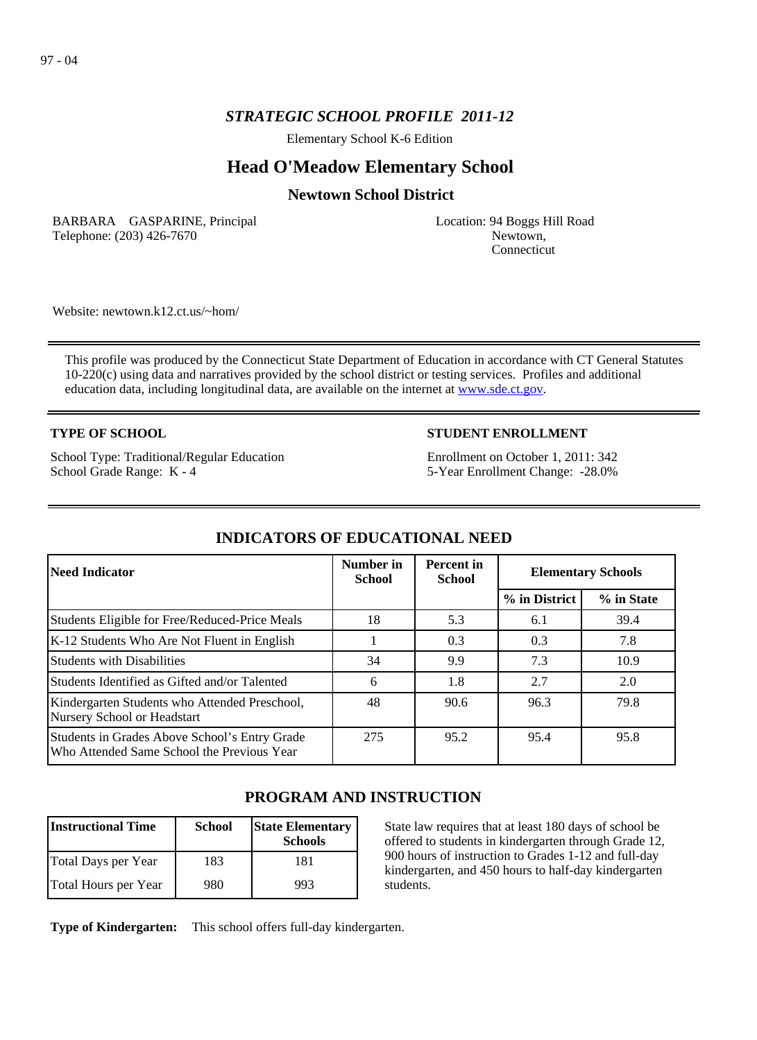## *STRATEGIC SCHOOL PROFILE 2011-12*

Elementary School K-6 Edition

# **Head O'Meadow Elementary School**

### **Newtown School District**

BARBARA GASPARINE, Principal Telephone: (203) 426-7670

Location: 94 Boggs Hill Road Newtown, Connecticut

Website: newtown.k12.ct.us/~hom/

This profile was produced by the Connecticut State Department of Education in accordance with CT General Statutes 10-220(c) using data and narratives provided by the school district or testing services. Profiles and additional education data, including longitudinal data, are available on the internet at [www.sde.ct.gov](http://www.sde.ct.gov/).

### **TYPE OF SCHOOL**

School Type: Traditional/Regular Education School Grade Range: K - 4

### **STUDENT ENROLLMENT**

Enrollment on October 1, 2011: 342 5-Year Enrollment Change: -28.0%

| Need Indicator                                                                              | Number in<br><b>School</b> | <b>Percent</b> in<br><b>School</b> | <b>Elementary Schools</b> |            |
|---------------------------------------------------------------------------------------------|----------------------------|------------------------------------|---------------------------|------------|
|                                                                                             |                            |                                    | % in District             | % in State |
| Students Eligible for Free/Reduced-Price Meals                                              | 18                         | 5.3                                | 6.1                       | 39.4       |
| K-12 Students Who Are Not Fluent in English                                                 |                            | 0.3                                | 0.3                       | 7.8        |
| Students with Disabilities                                                                  | 34                         | 9.9                                | 7.3                       | 10.9       |
| Students Identified as Gifted and/or Talented                                               | 6                          | 1.8                                | 2.7                       | 2.0        |
| Kindergarten Students who Attended Preschool,<br>Nursery School or Headstart                | 48                         | 90.6                               | 96.3                      | 79.8       |
| Students in Grades Above School's Entry Grade<br>Who Attended Same School the Previous Year | 275                        | 95.2                               | 95.4                      | 95.8       |

## **INDICATORS OF EDUCATIONAL NEED**

## **PROGRAM AND INSTRUCTION**

| <b>Instructional Time</b> | <b>School</b> | <b>State Elementary</b><br><b>Schools</b> |
|---------------------------|---------------|-------------------------------------------|
| Total Days per Year       | 183           | 181                                       |
| Total Hours per Year      | 980           | 993                                       |

State law requires that at least 180 days of school be offered to students in kindergarten through Grade 12, 900 hours of instruction to Grades 1-12 and full-day kindergarten, and 450 hours to half-day kindergarten students.

**Type of Kindergarten:**  This school offers full-day kindergarten.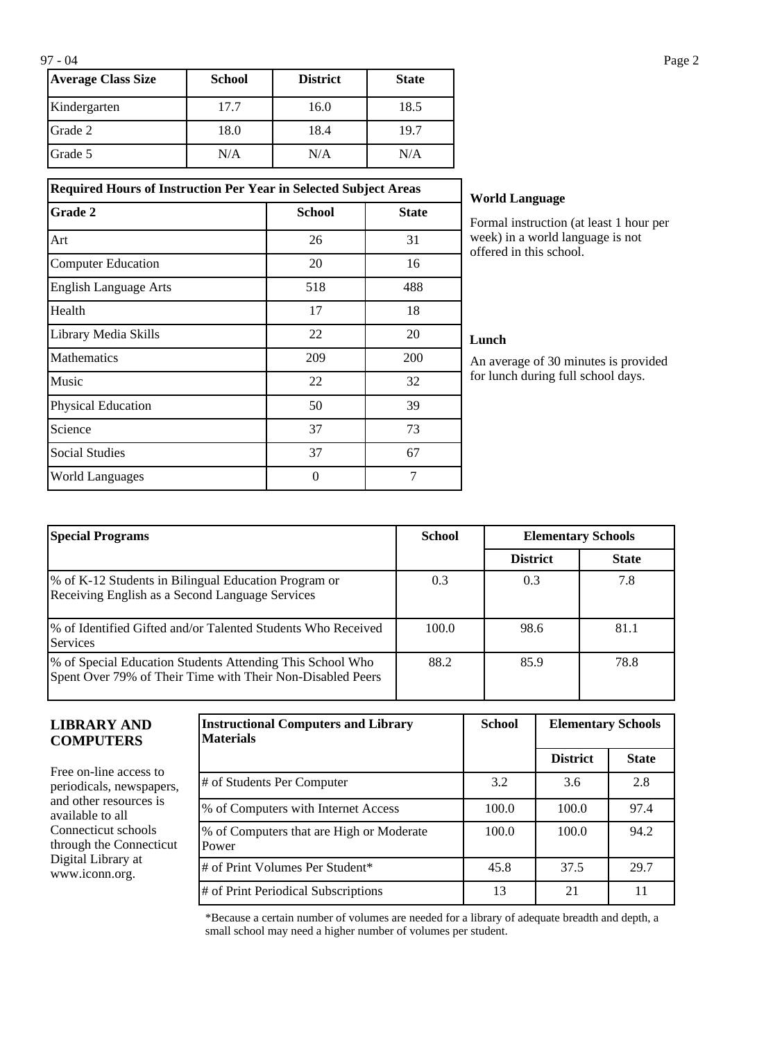| <b>Average Class Size</b> | <b>School</b> | <b>District</b> | <b>State</b> |
|---------------------------|---------------|-----------------|--------------|
| Kindergarten              | 17.7          | 16.0            | 18.5         |
| Grade 2                   | 18.0          | 18.4            | 19.7         |
| Grade 5                   | N/A           | N/A             | N/A          |

**Grade 2 School School State** 

Art 26 31 Computer Education 20 16 English Language Arts 518 518 488 Health  $17$  18 Library Media Skills 22 20 Mathematics 209 200 Music  $22$  32 Physical Education 50 50 39 Science 37 73 Social Studies 27 67 World Languages and the contract of the contract of the contract of the contract of the contract of the contract of the contract of the contract of the contract of the contract of the contract of the contract of the contra

#### **Required Hours of Instruction Per Year in Selected Subject Areas World Language**

Formal instruction (at least 1 hour per week) in a world language is not offered in this school.

#### **Lunch**

An average of 30 minutes is provided for lunch during full school days.

| <b>Special Programs</b>                                                                                                 | <b>School</b> | <b>Elementary Schools</b> |              |
|-------------------------------------------------------------------------------------------------------------------------|---------------|---------------------------|--------------|
|                                                                                                                         |               | <b>District</b>           | <b>State</b> |
| % of K-12 Students in Bilingual Education Program or<br>Receiving English as a Second Language Services                 | 0.3           | 0.3                       | 7.8          |
| % of Identified Gifted and/or Talented Students Who Received<br><b>Services</b>                                         | 100.0         | 98.6                      | 81.1         |
| % of Special Education Students Attending This School Who<br>Spent Over 79% of Their Time with Their Non-Disabled Peers | 88.2          | 85.9                      | 78.8         |

#### **LIBRARY AND COMPUTERS**

Free on-line access to periodicals, newspapers, and other resources is available to all Connecticut schools through the Connecticut Digital Library at www.iconn.org.

| <b>Instructional Computers and Library</b><br><b>Materials</b> | <b>School</b> | <b>Elementary Schools</b> |              |
|----------------------------------------------------------------|---------------|---------------------------|--------------|
|                                                                |               | <b>District</b>           | <b>State</b> |
| # of Students Per Computer                                     | 3.2           | 3.6                       | 2.8          |
| % of Computers with Internet Access                            | 100.0         | 100.0                     | 97.4         |
| % of Computers that are High or Moderate<br>Power              | 100.0         | 100.0                     | 94.2         |
| # of Print Volumes Per Student*                                | 45.8          | 37.5                      | 29.7         |
| # of Print Periodical Subscriptions                            | 13            | 21                        | 11           |

\*Because a certain number of volumes are needed for a library of adequate breadth and depth, a small school may need a higher number of volumes per student.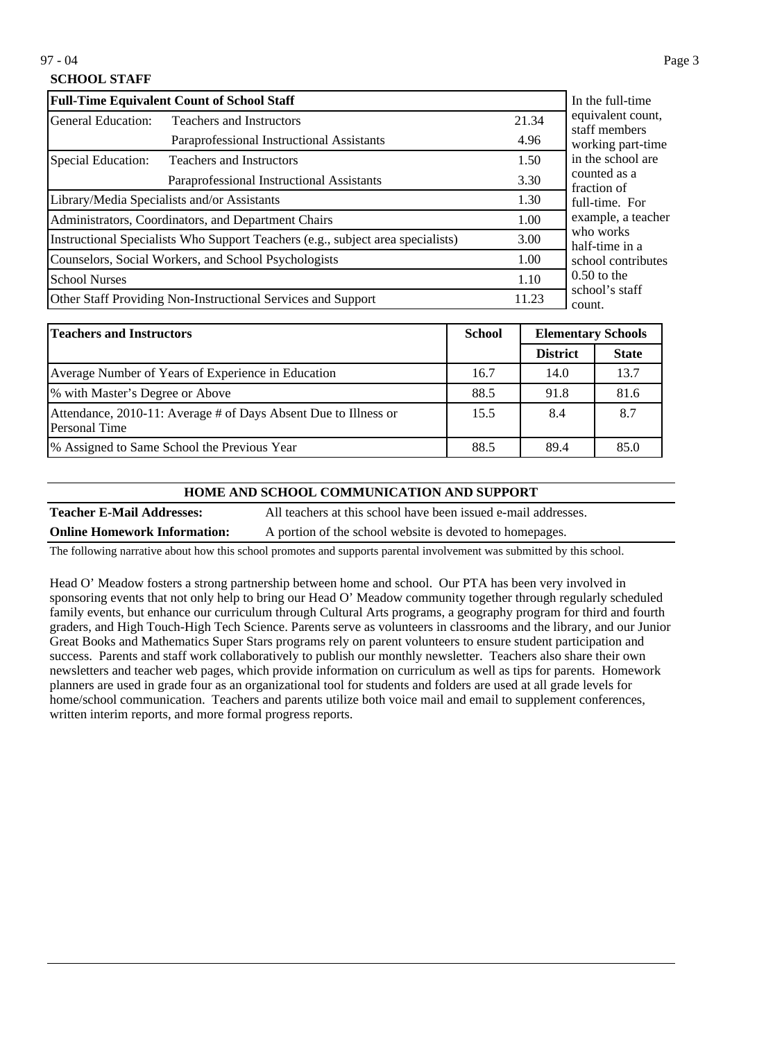### **SCHOOL STAFF**

| <b>Full-Time Equivalent Count of School Staff</b>                               | In the full-time                                             |       |                                                                     |
|---------------------------------------------------------------------------------|--------------------------------------------------------------|-------|---------------------------------------------------------------------|
| <b>General Education:</b>                                                       | <b>Teachers and Instructors</b>                              | 21.34 | equivalent count,<br>staff members                                  |
|                                                                                 | Paraprofessional Instructional Assistants                    | 4.96  | working part-time                                                   |
| Special Education:                                                              | <b>Teachers and Instructors</b>                              | 1.50  | in the school are                                                   |
| Paraprofessional Instructional Assistants                                       |                                                              | 3.30  | counted as a<br>fraction of                                         |
| Library/Media Specialists and/or Assistants                                     |                                                              | 1.30  | full-time. For<br>example, a teacher<br>who works<br>half-time in a |
| Administrators, Coordinators, and Department Chairs                             |                                                              | 1.00  |                                                                     |
| Instructional Specialists Who Support Teachers (e.g., subject area specialists) |                                                              | 3.00  |                                                                     |
| Counselors, Social Workers, and School Psychologists                            |                                                              | 1.00  | school contributes                                                  |
| <b>School Nurses</b>                                                            |                                                              | 1.10  | $0.50$ to the                                                       |
|                                                                                 | Other Staff Providing Non-Instructional Services and Support | 11.23 | school's staff<br>count.                                            |

| <b>Teachers and Instructors</b>                                                  | <b>School</b> | <b>Elementary Schools</b> |              |
|----------------------------------------------------------------------------------|---------------|---------------------------|--------------|
|                                                                                  |               | <b>District</b>           | <b>State</b> |
| Average Number of Years of Experience in Education                               | 16.7          | 14.0                      | 13.7         |
| % with Master's Degree or Above                                                  | 88.5          | 91.8                      | 81.6         |
| Attendance, 2010-11: Average # of Days Absent Due to Illness or<br>Personal Time | 15.5          | 8.4                       | 8.7          |
| 1% Assigned to Same School the Previous Year                                     | 88.5          | 89.4                      | 85.0         |

#### **HOME AND SCHOOL COMMUNICATION AND SUPPORT**

**Teacher E-Mail Addresses:** All teachers at this school have been issued e-mail addresses. **Online Homework Information:** A portion of the school website is devoted to homepages.

The following narrative about how this school promotes and supports parental involvement was submitted by this school.

Head O' Meadow fosters a strong partnership between home and school. Our PTA has been very involved in sponsoring events that not only help to bring our Head O' Meadow community together through regularly scheduled family events, but enhance our curriculum through Cultural Arts programs, a geography program for third and fourth graders, and High Touch-High Tech Science. Parents serve as volunteers in classrooms and the library, and our Junior Great Books and Mathematics Super Stars programs rely on parent volunteers to ensure student participation and success. Parents and staff work collaboratively to publish our monthly newsletter. Teachers also share their own newsletters and teacher web pages, which provide information on curriculum as well as tips for parents. Homework planners are used in grade four as an organizational tool for students and folders are used at all grade levels for home/school communication. Teachers and parents utilize both voice mail and email to supplement conferences, written interim reports, and more formal progress reports.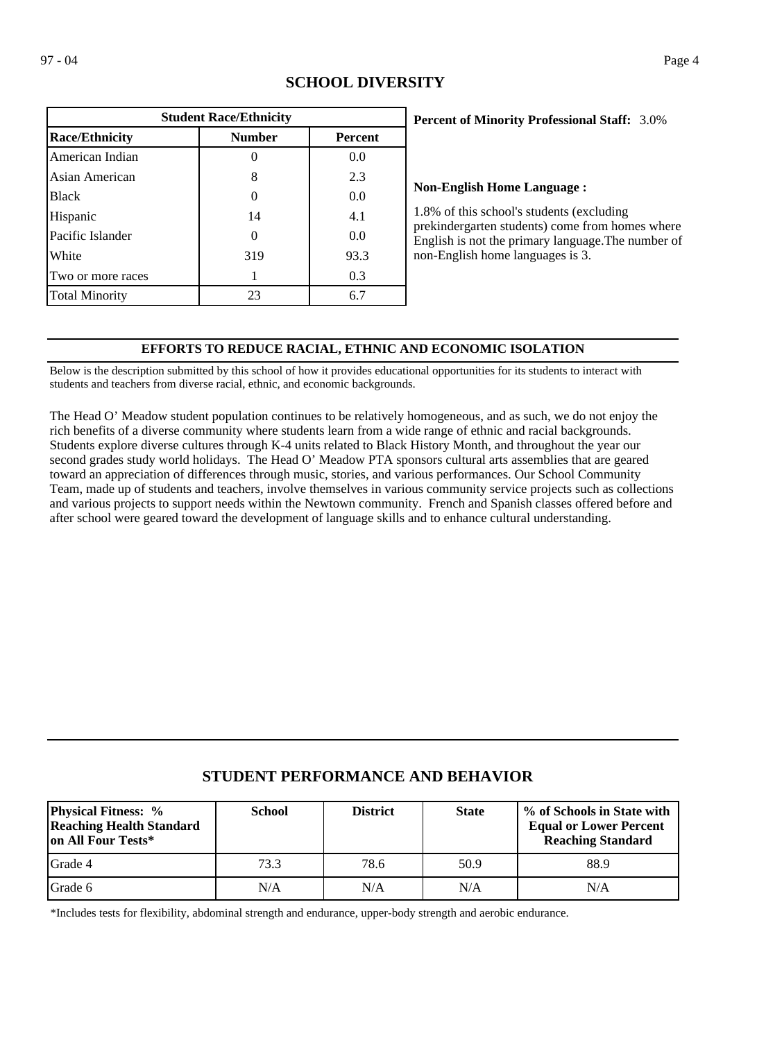| <b>Student Race/Ethnicity</b> |               |                |  |  |
|-------------------------------|---------------|----------------|--|--|
| <b>Race/Ethnicity</b>         | <b>Number</b> | <b>Percent</b> |  |  |
| American Indian               |               | 0.0            |  |  |
| Asian American                | 8             | 2.3            |  |  |
| <b>Black</b>                  |               | 0.0            |  |  |
| Hispanic                      | 14            | 4.1            |  |  |
| Pacific Islander              | 0             | 0.0            |  |  |
| White                         | 319           | 93.3           |  |  |
| Two or more races             |               | 0.3            |  |  |
| <b>Total Minority</b>         | 23            | 6.7            |  |  |

## **SCHOOL DIVERSITY**

### 3.0% **Percent of Minority Professional Staff:**

#### **Non-English Home Language :**

1.8% of this school's students (excluding prekindergarten students) come from homes where English is not the primary language.The number of non-English home languages is 3.

### **EFFORTS TO REDUCE RACIAL, ETHNIC AND ECONOMIC ISOLATION**

Below is the description submitted by this school of how it provides educational opportunities for its students to interact with students and teachers from diverse racial, ethnic, and economic backgrounds.

The Head O' Meadow student population continues to be relatively homogeneous, and as such, we do not enjoy the rich benefits of a diverse community where students learn from a wide range of ethnic and racial backgrounds. Students explore diverse cultures through K-4 units related to Black History Month, and throughout the year our second grades study world holidays. The Head O' Meadow PTA sponsors cultural arts assemblies that are geared toward an appreciation of differences through music, stories, and various performances. Our School Community Team, made up of students and teachers, involve themselves in various community service projects such as collections and various projects to support needs within the Newtown community. French and Spanish classes offered before and after school were geared toward the development of language skills and to enhance cultural understanding.

## **STUDENT PERFORMANCE AND BEHAVIOR**

| <b>Physical Fitness:</b> %<br><b>Reaching Health Standard</b><br>lon All Four Tests* | <b>School</b> | <b>District</b> | <b>State</b> | % of Schools in State with<br><b>Equal or Lower Percent</b><br><b>Reaching Standard</b> |
|--------------------------------------------------------------------------------------|---------------|-----------------|--------------|-----------------------------------------------------------------------------------------|
| lGrade 4                                                                             | 73.3          | 78.6            | 50.9         | 88.9                                                                                    |
| lGrade 6                                                                             | N/A           | N/A             | N/A          | N/A                                                                                     |

\*Includes tests for flexibility, abdominal strength and endurance, upper-body strength and aerobic endurance.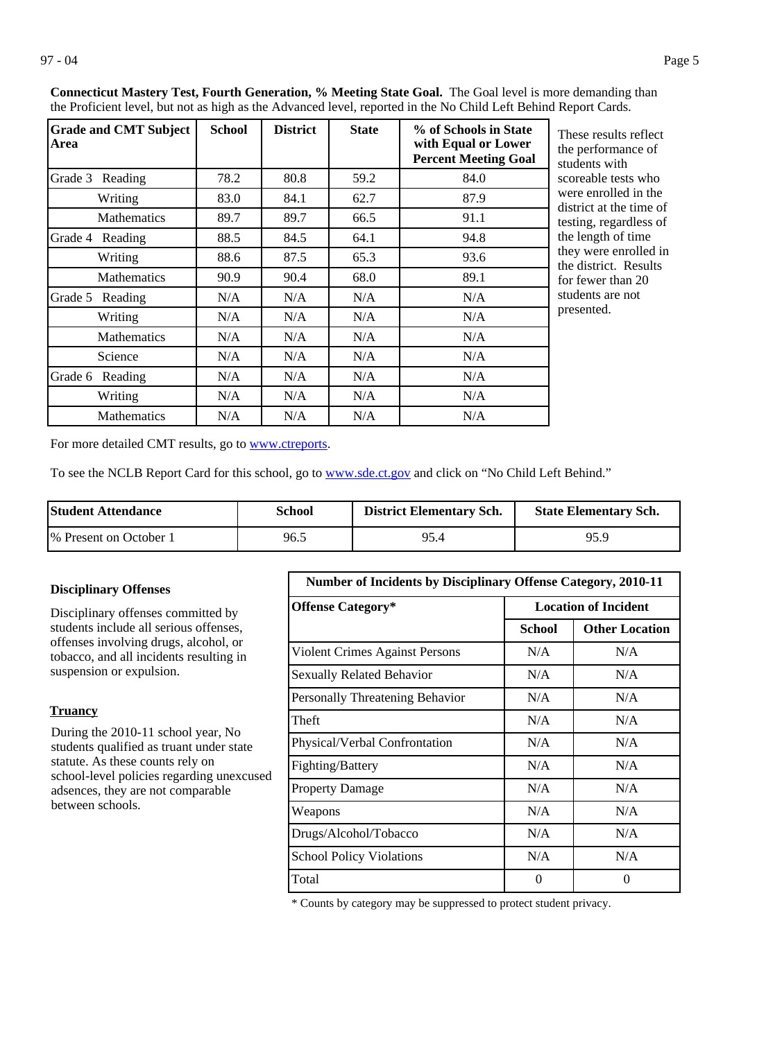| <b>Grade and CMT Subject</b><br>Area | <b>School</b> | <b>District</b> | <b>State</b> | % of Schools in State<br>with Equal or Lower<br><b>Percent Meeting Goal</b> |
|--------------------------------------|---------------|-----------------|--------------|-----------------------------------------------------------------------------|
| Grade 3 Reading                      | 78.2          | 80.8            | 59.2         | 84.0                                                                        |
| Writing                              | 83.0          | 84.1            | 62.7         | 87.9                                                                        |
| <b>Mathematics</b>                   | 89.7          | 89.7            | 66.5         | 91.1                                                                        |
| Grade 4<br>Reading                   | 88.5          | 84.5            | 64.1         | 94.8                                                                        |
| Writing                              | 88.6          | 87.5            | 65.3         | 93.6                                                                        |
| <b>Mathematics</b>                   | 90.9          | 90.4            | 68.0         | 89.1                                                                        |
| Grade 5<br>Reading                   | N/A           | N/A             | N/A          | N/A                                                                         |
| Writing                              | N/A           | N/A             | N/A          | N/A                                                                         |
| <b>Mathematics</b>                   | N/A           | N/A             | N/A          | N/A                                                                         |
| Science                              | N/A           | N/A             | N/A          | N/A                                                                         |
| Grade 6<br>Reading                   | N/A           | N/A             | N/A          | N/A                                                                         |
| Writing                              | N/A           | N/A             | N/A          | N/A                                                                         |
| <b>Mathematics</b>                   | N/A           | N/A             | N/A          | N/A                                                                         |

**Connecticut Mastery Test, Fourth Generation, % Meeting State Goal.** The Goal level is more demanding than the Proficient level, but not as high as the Advanced level, reported in the No Child Left Behind Report Cards.

> These results reflect he performance of tudents with coreable tests who were enrolled in the district at the time of esting, regardless of he length of time hey were enrolled in he district. Results or fewer than 20 tudents are not presented.

For more detailed CMT results, go to **[www.ctreports](http://www.ctreports/)**.

To see the NCLB Report Card for this school, go to [www.sde.ct.gov](http://www.sde.ct.gov/) and click on "No Child Left Behind."

| <b>Student Attendance</b> | School | <b>District Elementary Sch.</b> | <b>State Elementary Sch.</b> |
|---------------------------|--------|---------------------------------|------------------------------|
| 1\% Present on October 1  | 96.5   | 95.4                            | 95.9                         |

### **Disciplinary Offenses**

Disciplinary offenses committed by students include all serious offenses, offenses involving drugs, alcohol, or tobacco, and all incidents resulting in suspension or expulsion.

#### **Truancy**

During the 2010-11 school year, No students qualified as truant under state statute. As these counts rely on school-level policies regarding unexcused adsences, they are not comparable between schools.

| <b>Number of Incidents by Disciplinary Offense Category, 2010-11</b> |                             |                       |  |  |
|----------------------------------------------------------------------|-----------------------------|-----------------------|--|--|
| <b>Offense Category*</b>                                             | <b>Location of Incident</b> |                       |  |  |
|                                                                      | School                      | <b>Other Location</b> |  |  |
| <b>Violent Crimes Against Persons</b>                                | N/A                         | N/A                   |  |  |
| <b>Sexually Related Behavior</b>                                     | N/A                         | N/A                   |  |  |
| Personally Threatening Behavior                                      | N/A                         | N/A                   |  |  |
| Theft                                                                | N/A                         | N/A                   |  |  |
| Physical/Verbal Confrontation                                        | N/A                         | N/A                   |  |  |
| Fighting/Battery                                                     | N/A                         | N/A                   |  |  |
| <b>Property Damage</b>                                               | N/A                         | N/A                   |  |  |
| Weapons                                                              | N/A                         | N/A                   |  |  |
| Drugs/Alcohol/Tobacco                                                | N/A                         | N/A                   |  |  |
| <b>School Policy Violations</b>                                      | N/A                         | N/A                   |  |  |
| Total                                                                | 0                           | 0                     |  |  |

\* Counts by category may be suppressed to protect student privacy.